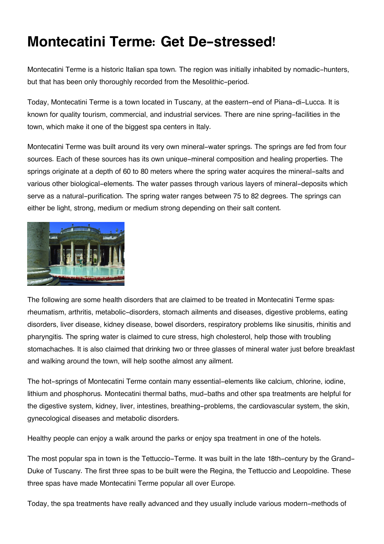## **Montecatini Terme: Get De-stressed!**

Montecatini Terme is a historic Italian spa town. The region was initially inhabited by nomadic-hunters, but that has been only thoroughly recorded from the Mesolithic-period.

Today, Montecatini Terme is a town located in Tuscany, at the eastern-end of Piana-di-Lucca. It is known for quality tourism, commercial, and industrial services. There are nine spring-facilities in the town, which make it one of the biggest spa centers in Italy.

Montecatini Terme was built around its very own mineral-water springs. The springs are fed from four sources. Each of these sources has its own unique-mineral composition and healing properties. The springs originate at a depth of 60 to 80 meters where the spring water acquires the mineral-salts and various other biological-elements. The water passes through various layers of mineral-deposits which serve as a natural-purification. The spring water ranges between 75 to 82 degrees. The springs can either be light, strong, medium or medium strong depending on their salt content.



The following are some health disorders that are claimed to be treated in Montecatini Terme spas: rheumatism, arthritis, metabolic-disorders, stomach ailments and diseases, digestive problems, eating disorders, liver disease, kidney disease, bowel disorders, respiratory problems like sinusitis, rhinitis and pharyngitis. The spring water is claimed to cure stress, high cholesterol, help those with troubling stomachaches. It is also claimed that drinking two or three glasses of mineral water just before breakfast and walking around the town, will help soothe almost any ailment.

The hot-springs of Montecatini Terme contain many essential-elements like calcium, chlorine, iodine, lithium and phosphorus. Montecatini thermal baths, mud-baths and other spa treatments are helpful for the digestive system, kidney, liver, intestines, breathing-problems, the cardiovascular system, the skin, gynecological diseases and metabolic disorders.

Healthy people can enjoy a walk around the parks or enjoy spa treatment in one of the hotels.

The most popular spa in town is the Tettuccio-Terme. It was built in the late 18th-century by the Grand-Duke of Tuscany. The first three spas to be built were the Regina, the Tettuccio and Leopoldine. These three spas have made Montecatini Terme popular all over Europe.

Today, the spa treatments have really advanced and they usually include various modern-methods of